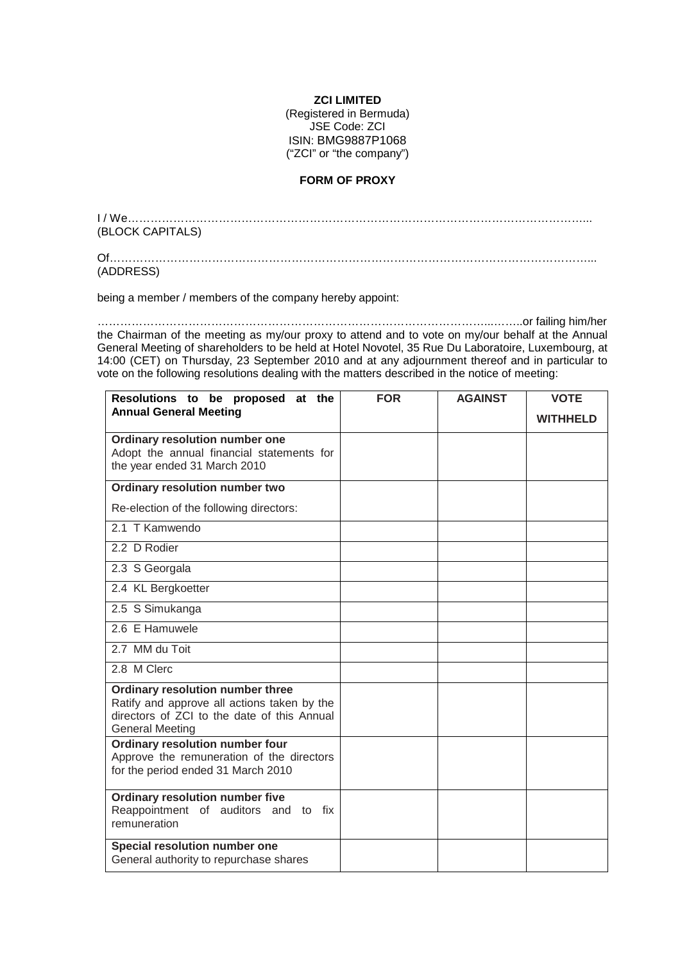## **ZCI LIMITED**

(Registered in Bermuda) JSE Code: ZCI ISIN: BMG9887P1068 ("ZCI" or "the company")

## **FORM OF PROXY**

I / We…………………………………………………………………………………………………………... (BLOCK CAPITALS)

Of………………………………………………………………………………………………………………... (ADDRESS)

being a member / members of the company hereby appoint:

…………………………………………………………………………………………...……..or failing him/her the Chairman of the meeting as my/our proxy to attend and to vote on my/our behalf at the Annual General Meeting of shareholders to be held at Hotel Novotel, 35 Rue Du Laboratoire, Luxembourg, at 14:00 (CET) on Thursday, 23 September 2010 and at any adjournment thereof and in particular to vote on the following resolutions dealing with the matters described in the notice of meeting:

| Resolutions to be proposed at the                                                                                                                        | <b>FOR</b> | <b>AGAINST</b> | <b>VOTE</b>     |
|----------------------------------------------------------------------------------------------------------------------------------------------------------|------------|----------------|-----------------|
| <b>Annual General Meeting</b>                                                                                                                            |            |                | <b>WITHHELD</b> |
| Ordinary resolution number one<br>Adopt the annual financial statements for<br>the year ended 31 March 2010                                              |            |                |                 |
| Ordinary resolution number two                                                                                                                           |            |                |                 |
| Re-election of the following directors:                                                                                                                  |            |                |                 |
| 2.1 T Kamwendo                                                                                                                                           |            |                |                 |
| 2.2 D Rodier                                                                                                                                             |            |                |                 |
| 2.3 S Georgala                                                                                                                                           |            |                |                 |
| 2.4 KL Bergkoetter                                                                                                                                       |            |                |                 |
| 2.5 S Simukanga                                                                                                                                          |            |                |                 |
| 2.6 E Hamuwele                                                                                                                                           |            |                |                 |
| 2.7 MM du Toit                                                                                                                                           |            |                |                 |
| 2.8 M Clerc                                                                                                                                              |            |                |                 |
| Ordinary resolution number three<br>Ratify and approve all actions taken by the<br>directors of ZCI to the date of this Annual<br><b>General Meeting</b> |            |                |                 |
| Ordinary resolution number four<br>Approve the remuneration of the directors<br>for the period ended 31 March 2010                                       |            |                |                 |
| <b>Ordinary resolution number five</b><br>Reappointment of auditors and to fix<br>remuneration                                                           |            |                |                 |
| Special resolution number one<br>General authority to repurchase shares                                                                                  |            |                |                 |